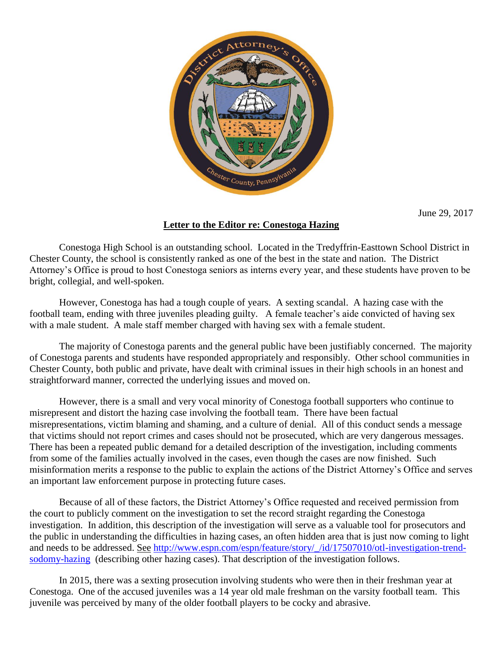

June 29, 2017

## **Letter to the Editor re: Conestoga Hazing**

Conestoga High School is an outstanding school. Located in the Tredyffrin-Easttown School District in Chester County, the school is consistently ranked as one of the best in the state and nation. The District Attorney's Office is proud to host Conestoga seniors as interns every year, and these students have proven to be bright, collegial, and well-spoken.

However, Conestoga has had a tough couple of years. A sexting scandal. A hazing case with the football team, ending with three juveniles pleading guilty. A female teacher's aide convicted of having sex with a male student. A male staff member charged with having sex with a female student.

The majority of Conestoga parents and the general public have been justifiably concerned. The majority of Conestoga parents and students have responded appropriately and responsibly. Other school communities in Chester County, both public and private, have dealt with criminal issues in their high schools in an honest and straightforward manner, corrected the underlying issues and moved on.

However, there is a small and very vocal minority of Conestoga football supporters who continue to misrepresent and distort the hazing case involving the football team. There have been factual misrepresentations, victim blaming and shaming, and a culture of denial. All of this conduct sends a message that victims should not report crimes and cases should not be prosecuted, which are very dangerous messages. There has been a repeated public demand for a detailed description of the investigation, including comments from some of the families actually involved in the cases, even though the cases are now finished. Such misinformation merits a response to the public to explain the actions of the District Attorney's Office and serves an important law enforcement purpose in protecting future cases.

Because of all of these factors, the District Attorney's Office requested and received permission from the court to publicly comment on the investigation to set the record straight regarding the Conestoga investigation. In addition, this description of the investigation will serve as a valuable tool for prosecutors and the public in understanding the difficulties in hazing cases, an often hidden area that is just now coming to light and needs to be addressed. See [http://www.espn.com/espn/feature/story/\\_/id/17507010/otl-investigation-trend](http://www.espn.com/espn/feature/story/_/id/17507010/otl-investigation-trend-sodomy-hazing)[sodomy-hazing](http://www.espn.com/espn/feature/story/_/id/17507010/otl-investigation-trend-sodomy-hazing) (describing other hazing cases). That description of the investigation follows.

In 2015, there was a sexting prosecution involving students who were then in their freshman year at Conestoga. One of the accused juveniles was a 14 year old male freshman on the varsity football team. This juvenile was perceived by many of the older football players to be cocky and abrasive.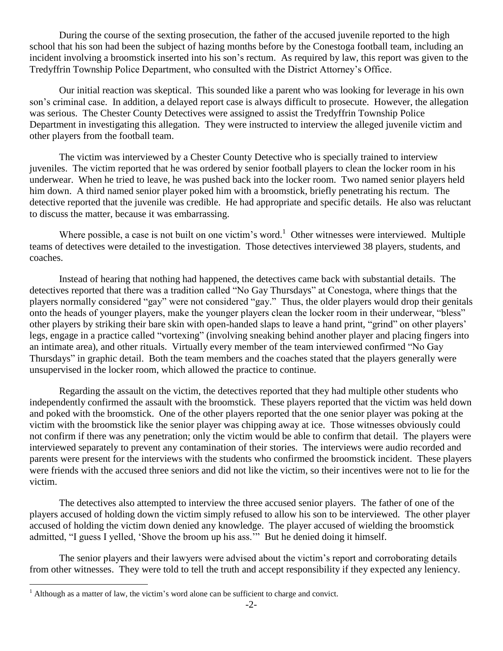During the course of the sexting prosecution, the father of the accused juvenile reported to the high school that his son had been the subject of hazing months before by the Conestoga football team, including an incident involving a broomstick inserted into his son's rectum. As required by law, this report was given to the Tredyffrin Township Police Department, who consulted with the District Attorney's Office.

Our initial reaction was skeptical. This sounded like a parent who was looking for leverage in his own son's criminal case. In addition, a delayed report case is always difficult to prosecute. However, the allegation was serious. The Chester County Detectives were assigned to assist the Tredyffrin Township Police Department in investigating this allegation. They were instructed to interview the alleged juvenile victim and other players from the football team.

The victim was interviewed by a Chester County Detective who is specially trained to interview juveniles. The victim reported that he was ordered by senior football players to clean the locker room in his underwear. When he tried to leave, he was pushed back into the locker room. Two named senior players held him down. A third named senior player poked him with a broomstick, briefly penetrating his rectum. The detective reported that the juvenile was credible. He had appropriate and specific details. He also was reluctant to discuss the matter, because it was embarrassing.

Where possible, a case is not built on one victim's word.<sup>1</sup> Other witnesses were interviewed. Multiple teams of detectives were detailed to the investigation. Those detectives interviewed 38 players, students, and coaches.

Instead of hearing that nothing had happened, the detectives came back with substantial details. The detectives reported that there was a tradition called "No Gay Thursdays" at Conestoga, where things that the players normally considered "gay" were not considered "gay." Thus, the older players would drop their genitals onto the heads of younger players, make the younger players clean the locker room in their underwear, "bless" other players by striking their bare skin with open-handed slaps to leave a hand print, "grind" on other players' legs, engage in a practice called "vortexing" (involving sneaking behind another player and placing fingers into an intimate area), and other rituals. Virtually every member of the team interviewed confirmed "No Gay Thursdays" in graphic detail. Both the team members and the coaches stated that the players generally were unsupervised in the locker room, which allowed the practice to continue.

Regarding the assault on the victim, the detectives reported that they had multiple other students who independently confirmed the assault with the broomstick. These players reported that the victim was held down and poked with the broomstick. One of the other players reported that the one senior player was poking at the victim with the broomstick like the senior player was chipping away at ice. Those witnesses obviously could not confirm if there was any penetration; only the victim would be able to confirm that detail. The players were interviewed separately to prevent any contamination of their stories. The interviews were audio recorded and parents were present for the interviews with the students who confirmed the broomstick incident. These players were friends with the accused three seniors and did not like the victim, so their incentives were not to lie for the victim.

The detectives also attempted to interview the three accused senior players. The father of one of the players accused of holding down the victim simply refused to allow his son to be interviewed. The other player accused of holding the victim down denied any knowledge. The player accused of wielding the broomstick admitted, "I guess I yelled, 'Shove the broom up his ass.'" But he denied doing it himself.

The senior players and their lawyers were advised about the victim's report and corroborating details from other witnesses. They were told to tell the truth and accept responsibility if they expected any leniency.

 $\overline{a}$ 

 $<sup>1</sup>$  Although as a matter of law, the victim's word alone can be sufficient to charge and convict.</sup>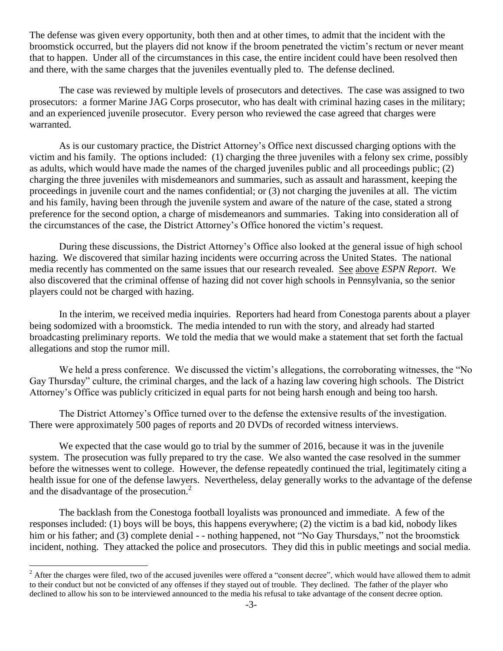The defense was given every opportunity, both then and at other times, to admit that the incident with the broomstick occurred, but the players did not know if the broom penetrated the victim's rectum or never meant that to happen. Under all of the circumstances in this case, the entire incident could have been resolved then and there, with the same charges that the juveniles eventually pled to. The defense declined.

The case was reviewed by multiple levels of prosecutors and detectives. The case was assigned to two prosecutors: a former Marine JAG Corps prosecutor, who has dealt with criminal hazing cases in the military; and an experienced juvenile prosecutor. Every person who reviewed the case agreed that charges were warranted.

As is our customary practice, the District Attorney's Office next discussed charging options with the victim and his family. The options included: (1) charging the three juveniles with a felony sex crime, possibly as adults, which would have made the names of the charged juveniles public and all proceedings public; (2) charging the three juveniles with misdemeanors and summaries, such as assault and harassment, keeping the proceedings in juvenile court and the names confidential; or (3) not charging the juveniles at all. The victim and his family, having been through the juvenile system and aware of the nature of the case, stated a strong preference for the second option, a charge of misdemeanors and summaries. Taking into consideration all of the circumstances of the case, the District Attorney's Office honored the victim's request.

During these discussions, the District Attorney's Office also looked at the general issue of high school hazing. We discovered that similar hazing incidents were occurring across the United States. The national media recently has commented on the same issues that our research revealed. See above *ESPN Report*. We also discovered that the criminal offense of hazing did not cover high schools in Pennsylvania, so the senior players could not be charged with hazing.

In the interim, we received media inquiries. Reporters had heard from Conestoga parents about a player being sodomized with a broomstick. The media intended to run with the story, and already had started broadcasting preliminary reports. We told the media that we would make a statement that set forth the factual allegations and stop the rumor mill.

We held a press conference. We discussed the victim's allegations, the corroborating witnesses, the "No Gay Thursday" culture, the criminal charges, and the lack of a hazing law covering high schools. The District Attorney's Office was publicly criticized in equal parts for not being harsh enough and being too harsh.

The District Attorney's Office turned over to the defense the extensive results of the investigation. There were approximately 500 pages of reports and 20 DVDs of recorded witness interviews.

We expected that the case would go to trial by the summer of 2016, because it was in the juvenile system. The prosecution was fully prepared to try the case. We also wanted the case resolved in the summer before the witnesses went to college. However, the defense repeatedly continued the trial, legitimately citing a health issue for one of the defense lawyers. Nevertheless, delay generally works to the advantage of the defense and the disadvantage of the prosecution. $2$ 

The backlash from the Conestoga football loyalists was pronounced and immediate. A few of the responses included: (1) boys will be boys, this happens everywhere; (2) the victim is a bad kid, nobody likes him or his father; and (3) complete denial - - nothing happened, not "No Gay Thursdays," not the broomstick incident, nothing. They attacked the police and prosecutors. They did this in public meetings and social media.

 $\overline{a}$ 

<sup>&</sup>lt;sup>2</sup> After the charges were filed, two of the accused juveniles were offered a "consent decree", which would have allowed them to admit to their conduct but not be convicted of any offenses if they stayed out of trouble. They declined. The father of the player who declined to allow his son to be interviewed announced to the media his refusal to take advantage of the consent decree option.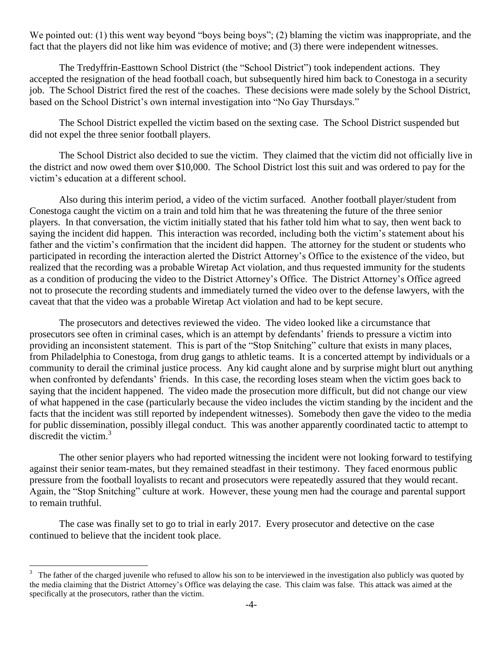We pointed out: (1) this went way beyond "boys being boys"; (2) blaming the victim was inappropriate, and the fact that the players did not like him was evidence of motive; and (3) there were independent witnesses.

The Tredyffrin-Easttown School District (the "School District") took independent actions. They accepted the resignation of the head football coach, but subsequently hired him back to Conestoga in a security job. The School District fired the rest of the coaches. These decisions were made solely by the School District, based on the School District's own internal investigation into "No Gay Thursdays."

The School District expelled the victim based on the sexting case. The School District suspended but did not expel the three senior football players.

The School District also decided to sue the victim. They claimed that the victim did not officially live in the district and now owed them over \$10,000. The School District lost this suit and was ordered to pay for the victim's education at a different school.

Also during this interim period, a video of the victim surfaced. Another football player/student from Conestoga caught the victim on a train and told him that he was threatening the future of the three senior players. In that conversation, the victim initially stated that his father told him what to say, then went back to saying the incident did happen. This interaction was recorded, including both the victim's statement about his father and the victim's confirmation that the incident did happen. The attorney for the student or students who participated in recording the interaction alerted the District Attorney's Office to the existence of the video, but realized that the recording was a probable Wiretap Act violation, and thus requested immunity for the students as a condition of producing the video to the District Attorney's Office. The District Attorney's Office agreed not to prosecute the recording students and immediately turned the video over to the defense lawyers, with the caveat that that the video was a probable Wiretap Act violation and had to be kept secure.

The prosecutors and detectives reviewed the video. The video looked like a circumstance that prosecutors see often in criminal cases, which is an attempt by defendants' friends to pressure a victim into providing an inconsistent statement. This is part of the "Stop Snitching" culture that exists in many places, from Philadelphia to Conestoga, from drug gangs to athletic teams. It is a concerted attempt by individuals or a community to derail the criminal justice process. Any kid caught alone and by surprise might blurt out anything when confronted by defendants' friends. In this case, the recording loses steam when the victim goes back to saying that the incident happened. The video made the prosecution more difficult, but did not change our view of what happened in the case (particularly because the video includes the victim standing by the incident and the facts that the incident was still reported by independent witnesses). Somebody then gave the video to the media for public dissemination, possibly illegal conduct. This was another apparently coordinated tactic to attempt to discredit the victim.<sup>3</sup>

The other senior players who had reported witnessing the incident were not looking forward to testifying against their senior team-mates, but they remained steadfast in their testimony. They faced enormous public pressure from the football loyalists to recant and prosecutors were repeatedly assured that they would recant. Again, the "Stop Snitching" culture at work. However, these young men had the courage and parental support to remain truthful.

The case was finally set to go to trial in early 2017. Every prosecutor and detective on the case continued to believe that the incident took place.

 $\overline{a}$ 

 $3\degree$  The father of the charged juvenile who refused to allow his son to be interviewed in the investigation also publicly was quoted by the media claiming that the District Attorney's Office was delaying the case. This claim was false. This attack was aimed at the specifically at the prosecutors, rather than the victim.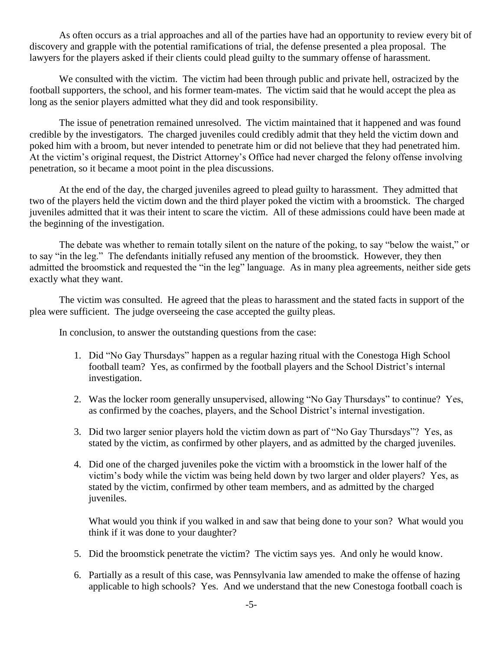As often occurs as a trial approaches and all of the parties have had an opportunity to review every bit of discovery and grapple with the potential ramifications of trial, the defense presented a plea proposal. The lawyers for the players asked if their clients could plead guilty to the summary offense of harassment.

We consulted with the victim. The victim had been through public and private hell, ostracized by the football supporters, the school, and his former team-mates. The victim said that he would accept the plea as long as the senior players admitted what they did and took responsibility.

The issue of penetration remained unresolved. The victim maintained that it happened and was found credible by the investigators. The charged juveniles could credibly admit that they held the victim down and poked him with a broom, but never intended to penetrate him or did not believe that they had penetrated him. At the victim's original request, the District Attorney's Office had never charged the felony offense involving penetration, so it became a moot point in the plea discussions.

At the end of the day, the charged juveniles agreed to plead guilty to harassment. They admitted that two of the players held the victim down and the third player poked the victim with a broomstick. The charged juveniles admitted that it was their intent to scare the victim. All of these admissions could have been made at the beginning of the investigation.

The debate was whether to remain totally silent on the nature of the poking, to say "below the waist," or to say "in the leg." The defendants initially refused any mention of the broomstick. However, they then admitted the broomstick and requested the "in the leg" language. As in many plea agreements, neither side gets exactly what they want.

The victim was consulted. He agreed that the pleas to harassment and the stated facts in support of the plea were sufficient. The judge overseeing the case accepted the guilty pleas.

In conclusion, to answer the outstanding questions from the case:

- 1. Did "No Gay Thursdays" happen as a regular hazing ritual with the Conestoga High School football team? Yes, as confirmed by the football players and the School District's internal investigation.
- 2. Was the locker room generally unsupervised, allowing "No Gay Thursdays" to continue? Yes, as confirmed by the coaches, players, and the School District's internal investigation.
- 3. Did two larger senior players hold the victim down as part of "No Gay Thursdays"? Yes, as stated by the victim, as confirmed by other players, and as admitted by the charged juveniles.
- 4. Did one of the charged juveniles poke the victim with a broomstick in the lower half of the victim's body while the victim was being held down by two larger and older players? Yes, as stated by the victim, confirmed by other team members, and as admitted by the charged juveniles.

What would you think if you walked in and saw that being done to your son? What would you think if it was done to your daughter?

- 5. Did the broomstick penetrate the victim? The victim says yes. And only he would know.
- 6. Partially as a result of this case, was Pennsylvania law amended to make the offense of hazing applicable to high schools? Yes. And we understand that the new Conestoga football coach is